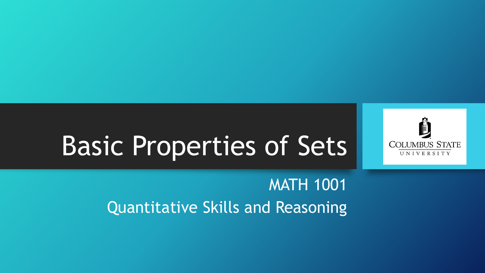

# Basic Properties of Sets

MATH 1001 Quantitative Skills and Reasoning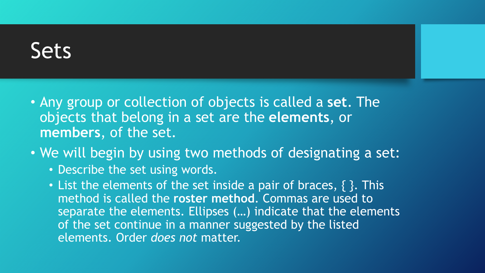- Any group or collection of objects is called a **set**. The objects that belong in a set are the **elements**, or **members**, of the set.
- We will begin by using two methods of designating a set:
	- Describe the set using words.
	- List the elements of the set inside a pair of braces, { }. This method is called the **roster method**. Commas are used to separate the elements. Ellipses (…) indicate that the elements of the set continue in a manner suggested by the listed elements. Order *does not* matter.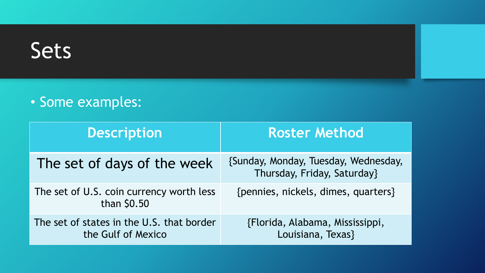#### • Some examples:

| <b>Description</b>                                              | <b>Roster Method</b>                                                |
|-----------------------------------------------------------------|---------------------------------------------------------------------|
| The set of days of the week                                     | {Sunday, Monday, Tuesday, Wednesday,<br>Thursday, Friday, Saturday} |
| The set of U.S. coin currency worth less<br>than \$0.50         | {pennies, nickels, dimes, quarters}                                 |
| The set of states in the U.S. that border<br>the Gulf of Mexico | {Florida, Alabama, Mississippi,<br>Louisiana, Texas}                |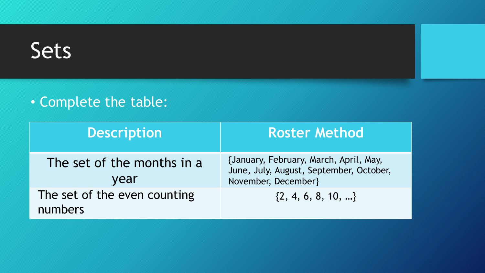#### • Complete the table:

| <b>Description</b>                      | <b>Roster Method</b>                                                                                     |
|-----------------------------------------|----------------------------------------------------------------------------------------------------------|
| The set of the months in a<br>year      | {January, February, March, April, May,<br>June, July, August, September, October,<br>November, December} |
| The set of the even counting<br>numbers | $\{2, 4, 6, 8, 10, \}$                                                                                   |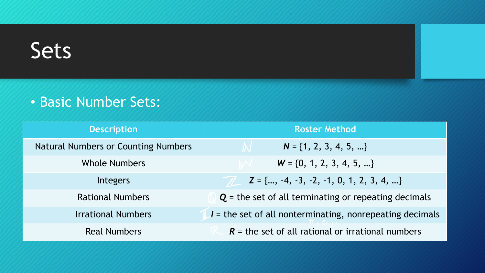#### • Basic Number Sets:

| <b>Description</b>                  | <b>Roster Method</b>                                       |
|-------------------------------------|------------------------------------------------------------|
| Natural Numbers or Counting Numbers | $N = \{1, 2, 3, 4, 5, \}$                                  |
| <b>Whole Numbers</b>                | $W = \{0, 1, 2, 3, 4, 5, \}$                               |
| Integers                            | $Z = \{, -4, -3, -2, -1, 0, 1, 2, 3, 4, \}$                |
| <b>Rational Numbers</b>             | $Q$ = the set of all terminating or repeating decimals     |
| <b>Irrational Numbers</b>           | $I =$ the set of all nonterminating, nonrepeating decimals |
| <b>Real Numbers</b>                 | $R$ = the set of all rational or irrational numbers        |